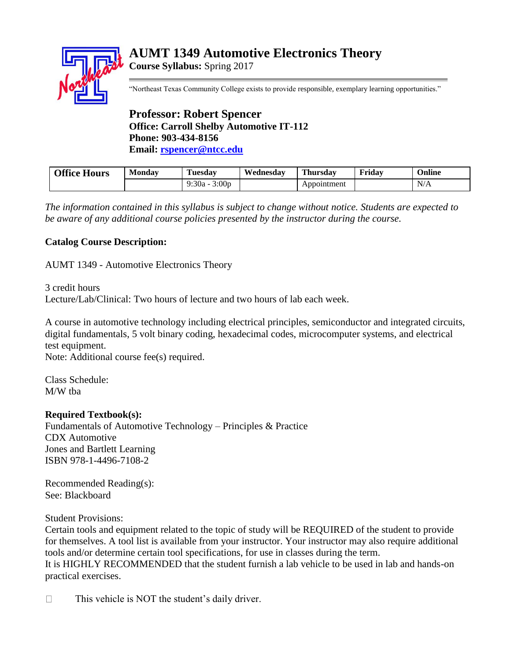# **AUMT 1349 Automotive Electronics Theory**

**Course Syllabus:** Spring 2017



"Northeast Texas Community College exists to provide responsible, exemplary learning opportunities."

## **Professor: Robert Spencer Office: Carroll Shelby Automotive IT-112 Phone: 903-434-8156 Email: [rspencer@ntcc.edu](mailto:rspencer@ntcc.edu)**

| <b>Office Hours</b> | Monday | Tuesdav                    | Wednesday | Thursdav    | Friday | <b>Online</b> |
|---------------------|--------|----------------------------|-----------|-------------|--------|---------------|
|                     |        | 3:00 <sub>D</sub><br>9:30a |           | Appointment |        | N/A           |

*The information contained in this syllabus is subject to change without notice. Students are expected to be aware of any additional course policies presented by the instructor during the course.*

## **Catalog Course Description:**

AUMT 1349 - Automotive Electronics Theory

3 credit hours Lecture/Lab/Clinical: Two hours of lecture and two hours of lab each week.

A course in automotive technology including electrical principles, semiconductor and integrated circuits, digital fundamentals, 5 volt binary coding, hexadecimal codes, microcomputer systems, and electrical test equipment.

Note: Additional course fee(s) required.

Class Schedule: M/W tba

## **Required Textbook(s):**

Fundamentals of Automotive Technology – Principles & Practice CDX Automotive Jones and Bartlett Learning ISBN 978-1-4496-7108-2

Recommended Reading(s): See: Blackboard

Student Provisions:

Certain tools and equipment related to the topic of study will be REQUIRED of the student to provide for themselves. A tool list is available from your instructor. Your instructor may also require additional tools and/or determine certain tool specifications, for use in classes during the term. It is HIGHLY RECOMMENDED that the student furnish a lab vehicle to be used in lab and hands-on practical exercises.

This vehicle is NOT the student's daily driver.  $\Box$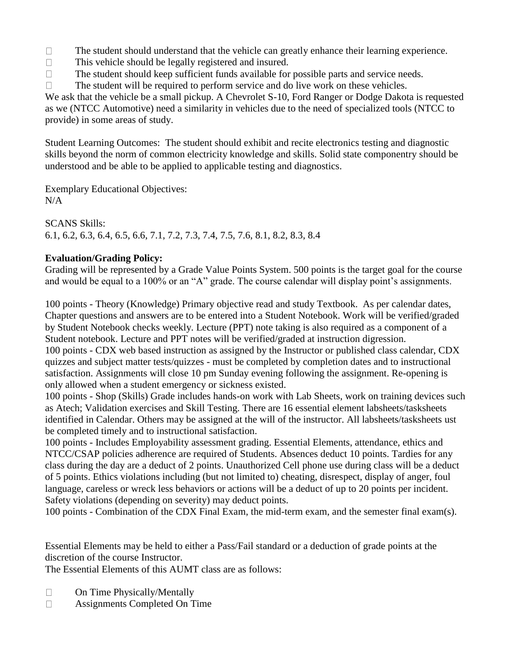$\Box$ The student should understand that the vehicle can greatly enhance their learning experience.

- $\Box$ This vehicle should be legally registered and insured.
- The student should keep sufficient funds available for possible parts and service needs.  $\Box$
- The student will be required to perform service and do live work on these vehicles.  $\Box$

We ask that the vehicle be a small pickup. A Chevrolet S-10, Ford Ranger or Dodge Dakota is requested as we (NTCC Automotive) need a similarity in vehicles due to the need of specialized tools (NTCC to provide) in some areas of study.

Student Learning Outcomes: The student should exhibit and recite electronics testing and diagnostic skills beyond the norm of common electricity knowledge and skills. Solid state componentry should be understood and be able to be applied to applicable testing and diagnostics.

Exemplary Educational Objectives:  $N/A$ 

SCANS Skills: 6.1, 6.2, 6.3, 6.4, 6.5, 6.6, 7.1, 7.2, 7.3, 7.4, 7.5, 7.6, 8.1, 8.2, 8.3, 8.4

## **Evaluation/Grading Policy:**

Grading will be represented by a Grade Value Points System. 500 points is the target goal for the course and would be equal to a 100% or an "A" grade. The course calendar will display point's assignments.

100 points - Theory (Knowledge) Primary objective read and study Textbook. As per calendar dates, Chapter questions and answers are to be entered into a Student Notebook. Work will be verified/graded by Student Notebook checks weekly. Lecture (PPT) note taking is also required as a component of a Student notebook. Lecture and PPT notes will be verified/graded at instruction digression.

100 points - CDX web based instruction as assigned by the Instructor or published class calendar, CDX quizzes and subject matter tests/quizzes - must be completed by completion dates and to instructional satisfaction. Assignments will close 10 pm Sunday evening following the assignment. Re-opening is only allowed when a student emergency or sickness existed.

100 points - Shop (Skills) Grade includes hands-on work with Lab Sheets, work on training devices such as Atech; Validation exercises and Skill Testing. There are 16 essential element labsheets/tasksheets identified in Calendar. Others may be assigned at the will of the instructor. All labsheets/tasksheets ust be completed timely and to instructional satisfaction.

100 points - Includes Employability assessment grading. Essential Elements, attendance, ethics and NTCC/CSAP policies adherence are required of Students. Absences deduct 10 points. Tardies for any class during the day are a deduct of 2 points. Unauthorized Cell phone use during class will be a deduct of 5 points. Ethics violations including (but not limited to) cheating, disrespect, display of anger, foul language, careless or wreck less behaviors or actions will be a deduct of up to 20 points per incident. Safety violations (depending on severity) may deduct points.

100 points - Combination of the CDX Final Exam, the mid-term exam, and the semester final exam(s).

Essential Elements may be held to either a Pass/Fail standard or a deduction of grade points at the discretion of the course Instructor.

The Essential Elements of this AUMT class are as follows:

- $\Box$ On Time Physically/Mentally
- $\Box$ Assignments Completed On Time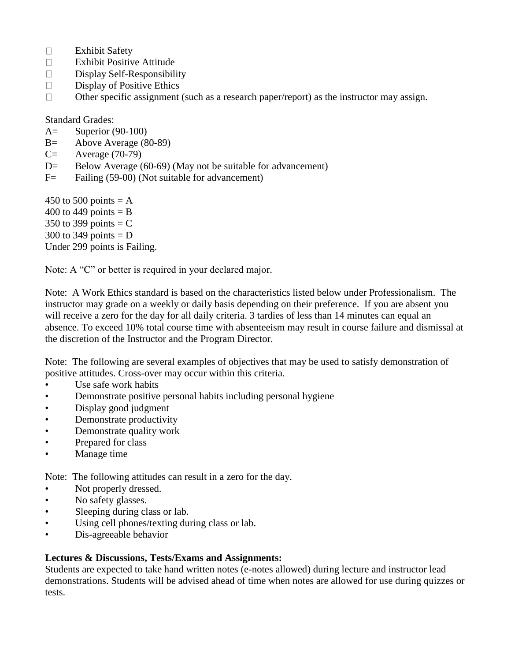- $\Box$ Exhibit Safety
- $\Box$ Exhibit Positive Attitude
- Display Self-Responsibility  $\Box$
- $\Box$ Display of Positive Ethics
- $\Box$ Other specific assignment (such as a research paper/report) as the instructor may assign.

Standard Grades:

- A= Superior (90-100)
- B= Above Average (80-89)
- $C=$  Average (70-79)
- $D=$  Below Average (60-69) (May not be suitable for advancement)
- F = Failing (59-00) (Not suitable for advancement)

450 to 500 points  $= A$ 400 to 449 points  $=$  B 350 to 399 points  $=$  C 300 to 349 points  $= D$ Under 299 points is Failing.

Note: A "C" or better is required in your declared major.

Note: A Work Ethics standard is based on the characteristics listed below under Professionalism. The instructor may grade on a weekly or daily basis depending on their preference. If you are absent you will receive a zero for the day for all daily criteria. 3 tardies of less than 14 minutes can equal an absence. To exceed 10% total course time with absenteeism may result in course failure and dismissal at the discretion of the Instructor and the Program Director.

Note: The following are several examples of objectives that may be used to satisfy demonstration of positive attitudes. Cross-over may occur within this criteria.

- Use safe work habits
- Demonstrate positive personal habits including personal hygiene
- Display good judgment
- Demonstrate productivity
- Demonstrate quality work
- Prepared for class
- Manage time

Note: The following attitudes can result in a zero for the day.

- Not properly dressed.
- No safety glasses.
- Sleeping during class or lab.
- Using cell phones/texting during class or lab.
- Dis-agreeable behavior

#### **Lectures & Discussions, Tests/Exams and Assignments:**

Students are expected to take hand written notes (e-notes allowed) during lecture and instructor lead demonstrations. Students will be advised ahead of time when notes are allowed for use during quizzes or tests.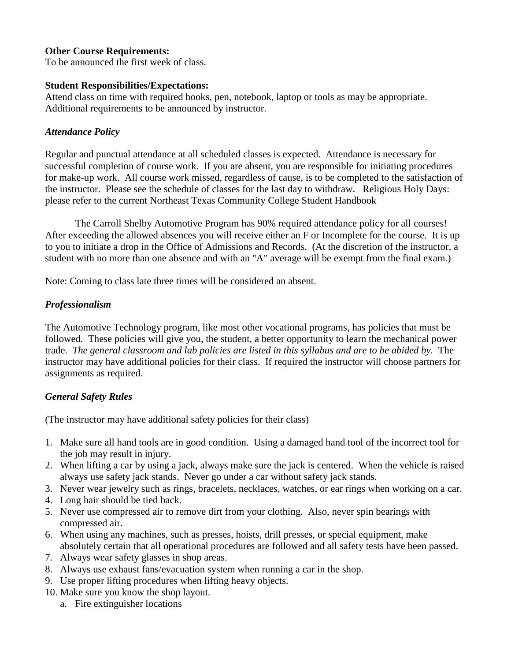#### **Other Course Requirements:**

To be announced the first week of class.

#### **Student Responsibilities/Expectations:**

Attend class on time with required books, pen, notebook, laptop or tools as may be appropriate. Additional requirements to be announced by instructor.

#### *Attendance Policy*

Regular and punctual attendance at all scheduled classes is expected. Attendance is necessary for successful completion of course work. If you are absent, you are responsible for initiating procedures for make-up work. All course work missed, regardless of cause, is to be completed to the satisfaction of the instructor. Please see the schedule of classes for the last day to withdraw. Religious Holy Days: please refer to the current Northeast Texas Community College Student Handbook

The Carroll Shelby Automotive Program has 90% required attendance policy for all courses! After exceeding the allowed absences you will receive either an F or Incomplete for the course. It is up to you to initiate a drop in the Office of Admissions and Records. (At the discretion of the instructor, a student with no more than one absence and with an "A" average will be exempt from the final exam.)

Note: Coming to class late three times will be considered an absent.

## *Professionalism*

The Automotive Technology program, like most other vocational programs, has policies that must be followed. These policies will give you, the student, a better opportunity to learn the mechanical power trade. *The general classroom and lab policies are listed in this syllabus and are to be abided by.* The instructor may have additional policies for their class. If required the instructor will choose partners for assignments as required.

## *General Safety Rules*

(The instructor may have additional safety policies for their class)

- 1. Make sure all hand tools are in good condition. Using a damaged hand tool of the incorrect tool for the job may result in injury.
- 2. When lifting a car by using a jack, always make sure the jack is centered. When the vehicle is raised always use safety jack stands. Never go under a car without safety jack stands.
- 3. Never wear jewelry such as rings, bracelets, necklaces, watches, or ear rings when working on a car.
- 4. Long hair should be tied back.
- 5. Never use compressed air to remove dirt from your clothing. Also, never spin bearings with compressed air.
- 6. When using any machines, such as presses, hoists, drill presses, or special equipment, make absolutely certain that all operational procedures are followed and all safety tests have been passed.
- 7. Always wear safety glasses in shop areas.
- 8. Always use exhaust fans/evacuation system when running a car in the shop.
- 9. Use proper lifting procedures when lifting heavy objects.
- 10. Make sure you know the shop layout.
	- a. Fire extinguisher locations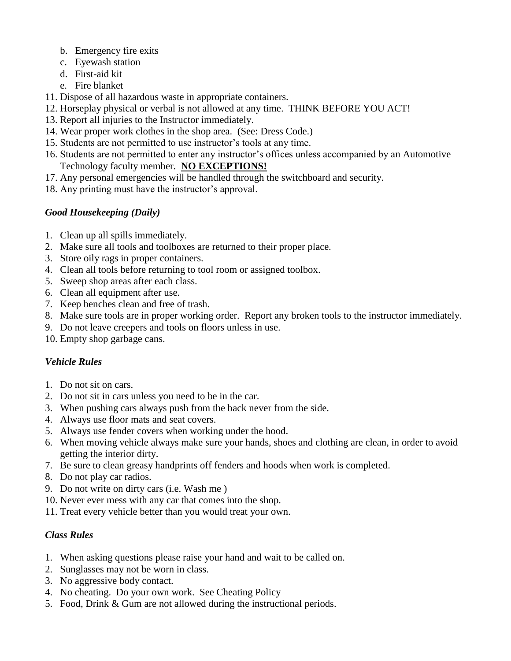- b. Emergency fire exits
- c. Eyewash station
- d. First-aid kit
- e. Fire blanket
- 11. Dispose of all hazardous waste in appropriate containers.
- 12. Horseplay physical or verbal is not allowed at any time. THINK BEFORE YOU ACT!
- 13. Report all injuries to the Instructor immediately.
- 14. Wear proper work clothes in the shop area. (See: Dress Code.)
- 15. Students are not permitted to use instructor's tools at any time.
- 16. Students are not permitted to enter any instructor's offices unless accompanied by an Automotive Technology faculty member. **NO EXCEPTIONS!**
- 17. Any personal emergencies will be handled through the switchboard and security.
- 18. Any printing must have the instructor's approval.

## *Good Housekeeping (Daily)*

- 1. Clean up all spills immediately.
- 2. Make sure all tools and toolboxes are returned to their proper place.
- 3. Store oily rags in proper containers.
- 4. Clean all tools before returning to tool room or assigned toolbox.
- 5. Sweep shop areas after each class.
- 6. Clean all equipment after use.
- 7. Keep benches clean and free of trash.
- 8. Make sure tools are in proper working order. Report any broken tools to the instructor immediately.
- 9. Do not leave creepers and tools on floors unless in use.
- 10. Empty shop garbage cans.

## *Vehicle Rules*

- 1. Do not sit on cars.
- 2. Do not sit in cars unless you need to be in the car.
- 3. When pushing cars always push from the back never from the side.
- 4. Always use floor mats and seat covers.
- 5. Always use fender covers when working under the hood.
- 6. When moving vehicle always make sure your hands, shoes and clothing are clean, in order to avoid getting the interior dirty.
- 7. Be sure to clean greasy handprints off fenders and hoods when work is completed.
- 8. Do not play car radios.
- 9. Do not write on dirty cars (i.e. Wash me )
- 10. Never ever mess with any car that comes into the shop.
- 11. Treat every vehicle better than you would treat your own.

## *Class Rules*

- 1. When asking questions please raise your hand and wait to be called on.
- 2. Sunglasses may not be worn in class.
- 3. No aggressive body contact.
- 4. No cheating. Do your own work. See Cheating Policy
- 5. Food, Drink & Gum are not allowed during the instructional periods.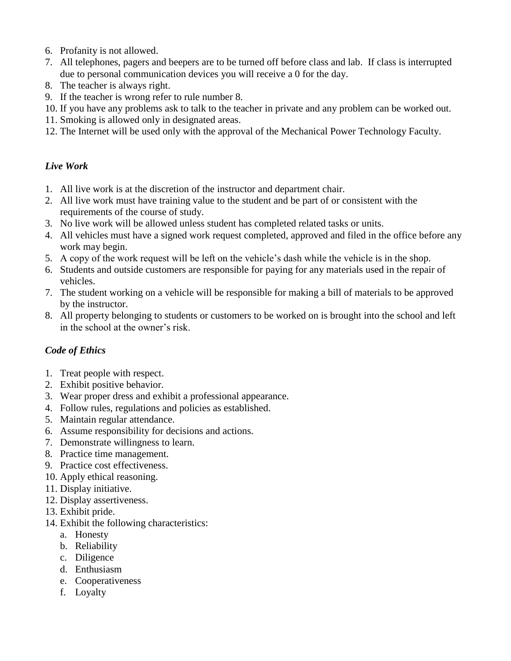- 6. Profanity is not allowed.
- 7. All telephones, pagers and beepers are to be turned off before class and lab. If class is interrupted due to personal communication devices you will receive a 0 for the day.
- 8. The teacher is always right.
- 9. If the teacher is wrong refer to rule number 8.
- 10. If you have any problems ask to talk to the teacher in private and any problem can be worked out.
- 11. Smoking is allowed only in designated areas.
- 12. The Internet will be used only with the approval of the Mechanical Power Technology Faculty.

#### *Live Work*

- 1. All live work is at the discretion of the instructor and department chair.
- 2. All live work must have training value to the student and be part of or consistent with the requirements of the course of study.
- 3. No live work will be allowed unless student has completed related tasks or units.
- 4. All vehicles must have a signed work request completed, approved and filed in the office before any work may begin.
- 5. A copy of the work request will be left on the vehicle's dash while the vehicle is in the shop.
- 6. Students and outside customers are responsible for paying for any materials used in the repair of vehicles.
- 7. The student working on a vehicle will be responsible for making a bill of materials to be approved by the instructor.
- 8. All property belonging to students or customers to be worked on is brought into the school and left in the school at the owner's risk.

## *Code of Ethics*

- 1. Treat people with respect.
- 2. Exhibit positive behavior.
- 3. Wear proper dress and exhibit a professional appearance.
- 4. Follow rules, regulations and policies as established.
- 5. Maintain regular attendance.
- 6. Assume responsibility for decisions and actions.
- 7. Demonstrate willingness to learn.
- 8. Practice time management.
- 9. Practice cost effectiveness.
- 10. Apply ethical reasoning.
- 11. Display initiative.
- 12. Display assertiveness.
- 13. Exhibit pride.
- 14. Exhibit the following characteristics:
	- a. Honesty
	- b. Reliability
	- c. Diligence
	- d. Enthusiasm
	- e. Cooperativeness
	- f. Loyalty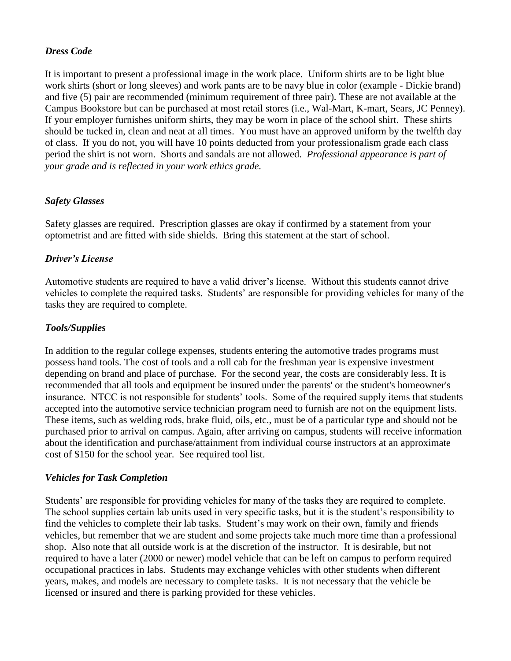## *Dress Code*

It is important to present a professional image in the work place. Uniform shirts are to be light blue work shirts (short or long sleeves) and work pants are to be navy blue in color (example - Dickie brand) and five (5) pair are recommended (minimum requirement of three pair). These are not available at the Campus Bookstore but can be purchased at most retail stores (i.e., Wal-Mart, K-mart, Sears, JC Penney). If your employer furnishes uniform shirts, they may be worn in place of the school shirt. These shirts should be tucked in, clean and neat at all times. You must have an approved uniform by the twelfth day of class. If you do not, you will have 10 points deducted from your professionalism grade each class period the shirt is not worn. Shorts and sandals are not allowed. *Professional appearance is part of your grade and is reflected in your work ethics grade.*

## *Safety Glasses*

Safety glasses are required. Prescription glasses are okay if confirmed by a statement from your optometrist and are fitted with side shields. Bring this statement at the start of school.

## *Driver's License*

Automotive students are required to have a valid driver's license. Without this students cannot drive vehicles to complete the required tasks. Students' are responsible for providing vehicles for many of the tasks they are required to complete.

## *Tools/Supplies*

In addition to the regular college expenses, students entering the automotive trades programs must possess hand tools. The cost of tools and a roll cab for the freshman year is expensive investment depending on brand and place of purchase. For the second year, the costs are considerably less. It is recommended that all tools and equipment be insured under the parents' or the student's homeowner's insurance. NTCC is not responsible for students' tools. Some of the required supply items that students accepted into the automotive service technician program need to furnish are not on the equipment lists. These items, such as welding rods, brake fluid, oils, etc., must be of a particular type and should not be purchased prior to arrival on campus. Again, after arriving on campus, students will receive information about the identification and purchase/attainment from individual course instructors at an approximate cost of \$150 for the school year. See required tool list.

## *Vehicles for Task Completion*

Students' are responsible for providing vehicles for many of the tasks they are required to complete. The school supplies certain lab units used in very specific tasks, but it is the student's responsibility to find the vehicles to complete their lab tasks. Student's may work on their own, family and friends vehicles, but remember that we are student and some projects take much more time than a professional shop. Also note that all outside work is at the discretion of the instructor. It is desirable, but not required to have a later (2000 or newer) model vehicle that can be left on campus to perform required occupational practices in labs. Students may exchange vehicles with other students when different years, makes, and models are necessary to complete tasks. It is not necessary that the vehicle be licensed or insured and there is parking provided for these vehicles.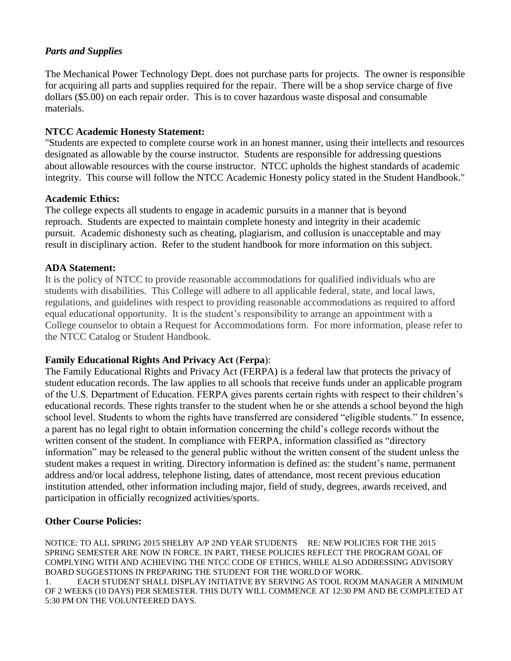## *Parts and Supplies*

The Mechanical Power Technology Dept. does not purchase parts for projects. The owner is responsible for acquiring all parts and supplies required for the repair. There will be a shop service charge of five dollars (\$5.00) on each repair order. This is to cover hazardous waste disposal and consumable materials.

#### **NTCC Academic Honesty Statement:**

"Students are expected to complete course work in an honest manner, using their intellects and resources designated as allowable by the course instructor. Students are responsible for addressing questions about allowable resources with the course instructor. NTCC upholds the highest standards of academic integrity. This course will follow the NTCC Academic Honesty policy stated in the Student Handbook."

#### **Academic Ethics:**

The college expects all students to engage in academic pursuits in a manner that is beyond reproach. Students are expected to maintain complete honesty and integrity in their academic pursuit. Academic dishonesty such as cheating, plagiarism, and collusion is unacceptable and may result in disciplinary action. Refer to the student handbook for more information on this subject.

#### **ADA Statement:**

It is the policy of NTCC to provide reasonable accommodations for qualified individuals who are students with disabilities. This College will adhere to all applicable federal, state, and local laws, regulations, and guidelines with respect to providing reasonable accommodations as required to afford equal educational opportunity. It is the student's responsibility to arrange an appointment with a College counselor to obtain a Request for Accommodations form. For more information, please refer to the NTCC Catalog or Student Handbook.

## **Family Educational Rights And Privacy Act** (**Ferpa**):

The Family Educational Rights and Privacy Act (FERPA) is a federal law that protects the privacy of student education records. The law applies to all schools that receive funds under an applicable program of the U.S. Department of Education. FERPA gives parents certain rights with respect to their children's educational records. These rights transfer to the student when he or she attends a school beyond the high school level. Students to whom the rights have transferred are considered "eligible students." In essence, a parent has no legal right to obtain information concerning the child's college records without the written consent of the student. In compliance with FERPA, information classified as "directory information" may be released to the general public without the written consent of the student unless the student makes a request in writing. Directory information is defined as: the student's name, permanent address and/or local address, telephone listing, dates of attendance, most recent previous education institution attended, other information including major, field of study, degrees, awards received, and participation in officially recognized activities/sports.

## **Other Course Policies:**

NOTICE: TO ALL SPRING 2015 SHELBY A/P 2ND YEAR STUDENTS RE: NEW POLICIES FOR THE 2015 SPRING SEMESTER ARE NOW IN FORCE. IN PART, THESE POLICIES REFLECT THE PROGRAM GOAL OF COMPLYING WITH AND ACHIEVING THE NTCC CODE OF ETHICS, WHILE ALSO ADDRESSING ADVISORY BOARD SUGGESTIONS IN PREPARING THE STUDENT FOR THE WORLD OF WORK.

1. EACH STUDENT SHALL DISPLAY INITIATIVE BY SERVING AS TOOL ROOM MANAGER A MINIMUM OF 2 WEEKS (10 DAYS) PER SEMESTER. THIS DUTY WILL COMMENCE AT 12:30 PM AND BE COMPLETED AT 5:30 PM ON THE VOLUNTEERED DAYS.